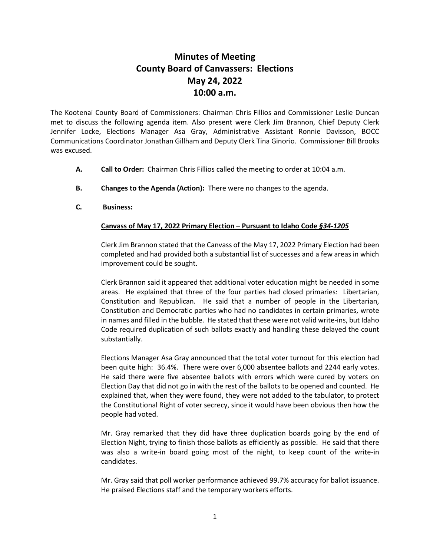## **Minutes of Meeting County Board of Canvassers: Elections May 24, 2022 10:00 a.m.**

The Kootenai County Board of Commissioners: Chairman Chris Fillios and Commissioner Leslie Duncan met to discuss the following agenda item. Also present were Clerk Jim Brannon, Chief Deputy Clerk Jennifer Locke, Elections Manager Asa Gray, Administrative Assistant Ronnie Davisson, BOCC Communications Coordinator Jonathan Gillham and Deputy Clerk Tina Ginorio. Commissioner Bill Brooks was excused.

- **A. Call to Order:** Chairman Chris Fillios called the meeting to order at 10:04 a.m.
- **B. Changes to the Agenda (Action):** There were no changes to the agenda.
- **C. Business:**

## **Canvass of May 17, 2022 Primary Election – Pursuant to Idaho Code** *§34-1205*

Clerk Jim Brannon stated that the Canvass of the May 17, 2022 Primary Election had been completed and had provided both a substantial list of successes and a few areas in which improvement could be sought.

Clerk Brannon said it appeared that additional voter education might be needed in some areas. He explained that three of the four parties had closed primaries: Libertarian, Constitution and Republican. He said that a number of people in the Libertarian, Constitution and Democratic parties who had no candidates in certain primaries, wrote in names and filled in the bubble. He stated that these were not valid write-ins, but Idaho Code required duplication of such ballots exactly and handling these delayed the count substantially.

Elections Manager Asa Gray announced that the total voter turnout for this election had been quite high: 36.4%. There were over 6,000 absentee ballots and 2244 early votes. He said there were five absentee ballots with errors which were cured by voters on Election Day that did not go in with the rest of the ballots to be opened and counted. He explained that, when they were found, they were not added to the tabulator, to protect the Constitutional Right of voter secrecy, since it would have been obvious then how the people had voted.

Mr. Gray remarked that they did have three duplication boards going by the end of Election Night, trying to finish those ballots as efficiently as possible. He said that there was also a write-in board going most of the night, to keep count of the write-in candidates.

Mr. Gray said that poll worker performance achieved 99.7% accuracy for ballot issuance. He praised Elections staff and the temporary workers efforts.